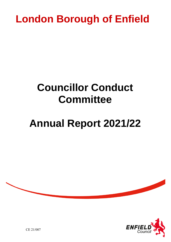## **London Borough of Enfield**

### **Councillor Conduct Committee**

# **Annual Report 2021/22**





CE 21/007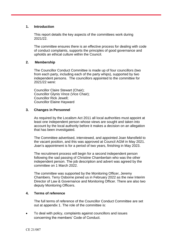#### **1. Introduction**

This report details the key aspects of the committees work during 2021/22.

The committee ensures there is an effective process for dealing with code of conduct complaints, supports the principles of good governance and upholds an ethical culture within the Council.

#### **2. Membership**

The Councillor Conduct Committee is made up of four councillors (two from each party, including each of the party whips), supported by two independent persons. The councillors appointed to the committee for 2021/22 were:

Councillor Claire Stewart (Chair); Councillor Glynis Vince (Vice Chair); Councillor Rick Jewell; Councillor Elaine Hayward

#### **3. Changes in Personnel**

As required by the Localism Act 2011 all local authorities must appoint at least one independent person whose views are sought and taken into account by the local authority before it makes a decision on an allegation that has been investigated.

The Committee advertised, interviewed, and appointed Joan Mansfield to the vacant position, and this was approved at Council AGM in May 2021. Joan's appointment is for a period of two years, finishing in May 2023.

The recruitment process will begin for a second independent person following the sad passing of Christine Chamberlain who was the other independent person. The job description and advert was agreed by the committee on 1 March 2022.

The committee was supported by the Monitoring Officer, Jeremy Chambers. Terry Osborne joined us in February 2022 as the new Interim Director of Law & Governance and Monitoring Officer. There are also two deputy Monitoring Officers.

#### **4. Terms of reference**

The full terms of reference of the Councillor Conduct Committee are set out at appendix 1. The role of the committee is:

 To deal with policy, complaints against councillors and issues concerning the members' Code of Conduct.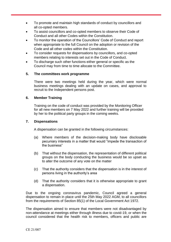- To promote and maintain high standards of conduct by councillors and all co-opted members.
- To assist councillors and co-opted members to observe their Code of Conduct and all other Codes within the Constitution.
- To monitor the operation of the Councillors' Code of Conduct and report when appropriate to the full Council on the adoption or revision of the Code and all other codes within the Constitution.
- To consider requests for dispensations by councillors, and co-opted members relating to interests set out in the Code of Conduct.
- To discharge such other functions either general or specific as the Council may from time to time allocate to the Committee.

#### **5. The committees work programme**

There were two meetings held during the year, which were normal business meetings dealing with an update on cases, and approval to recruit to the Independent persons post.

#### **6. Member Training**

Training on the code of conduct was provided by the Monitoring Officer for all new members on 7 May 2022 and further training will be provided by her to the political party groups in the coming weeks.

#### **7. Dispensations**

A dispensation can be granted in the following circumstances:

- (a) Where members of the decision-making body have disclosable pecuniary interests in a matter that would "impede the transaction of the business"
- (b) That without the dispensation, the representation of different political groups on the body conducting the business would be so upset as to alter the outcome of any vote on the matter
- (c) That the authority considers that the dispensation is in the interest of persons living in the authority's area
- (d) That the authority considers that it is otherwise appropriate to grant a dispensation.

Due to the ongoing coronavirus pandemic, Council agreed a general dispensation to remain in place until the 25th May 2022 AGM, to all councillors from the requirements of Section 85(1) of the Local Government Act 1972.

The dispensation aimed to ensure that members were not disadvantaged by non-attendance at meetings either through illness due to covid-19, or when the council considered that the health risk to members, officers and public are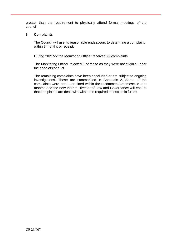greater than the requirement to physically attend formal meetings of the council.

#### **8. Complaints**

The Council will use its reasonable endeavours to determine a complaint within 3 months of receipt.

During 2021/22 the Monitoring Officer received 22 complaints.

The Monitoring Officer rejected 1 of these as they were not eligible under the code of conduct.

The remaining complaints have been concluded or are subject to ongoing investigations. These are summarised in Appendix 2. Some of the complaints were not determined within the recommended timescale of 3 months and the new Interim Director of Law and Governance will ensure that complaints are dealt with within the required timescale in future.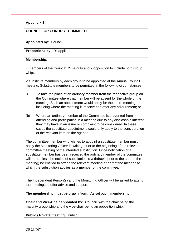#### **Appendix 1**

#### **COUNCILLOR CONDUCT COMMITTEE**

#### **Appointed by:** Council

**Proportionality:** Disapplied

#### **Membership:**

4 members of the Council: 2 majority and 2 opposition to include both group whips.

2 substitute members by each group to be appointed at the Annual Council meeting. Substitute members to be permitted in the following circumstances:

- 8. To take the place of an ordinary member from the respective group on the Committee where that member will be absent for the whole of the meeting. Such an appointment would apply for the entire meeting, including where the meeting is reconvened after any adjournment; or
- (b) Where an ordinary member of the Committee is prevented from attending and participating in a meeting due to any disclosable interest they may have in an issue or complaint to be considered. In these cases the substitute appointment would only apply to the consideration of the relevant item on the agenda.

The committee member who wishes to appoint a substitute member must notify the Monitoring Officer in writing, prior to the beginning of the relevant committee meeting of the intended substitution. Once notification of a substitute member has been received the ordinary member of the committee will not (unless the notice of substitution is withdrawn prior to the start of the meeting) be entitled to attend the relevant meeting or part of the meeting to which the substitution applies as a member of the committee.

The Independent Person(s) and the Monitoring Officer will be asked to attend the meetings to offer advice and support.

**The membership must be drawn from:** As set out in membership

**Chair and Vice-Chair appointed by:** Council, with the chair being the majority group whip and the vice-chair being an opposition whip.

**Public / Private meeting:** Public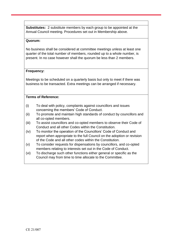**Substitutes:** 2 substitute members by each group to be appointed at the Annual Council meeting. Procedures set out in Membership above.

#### **Quorum:**

No business shall be considered at committee meetings unless at least one quarter of the total number of members, rounded up to a whole number, is present. In no case however shall the quorum be less than 2 members.

#### **Frequency:**

Meetings to be scheduled on a quarterly basis but only to meet if there was business to be transacted. Extra meetings can be arranged if necessary.

#### **Terms of Reference:**

- (i) To deal with policy, complaints against councillors and issues concerning the members' Code of Conduct.
- (ii) To promote and maintain high standards of conduct by councillors and all co-opted members.
- (iii) To assist councillors and co-opted members to observe their Code of Conduct and all other Codes within the Constitution.
- (iv) To monitor the operation of the Councillors' Code of Conduct and report when appropriate to the full Council on the adoption or revision of the Code and all other codes within the Constitution.
- (v) To consider requests for dispensations by councillors, and co-opted members relating to interests set out in the Code of Conduct.
- (vi) To discharge such other functions either general or specific as the Council may from time to time allocate to the Committee.